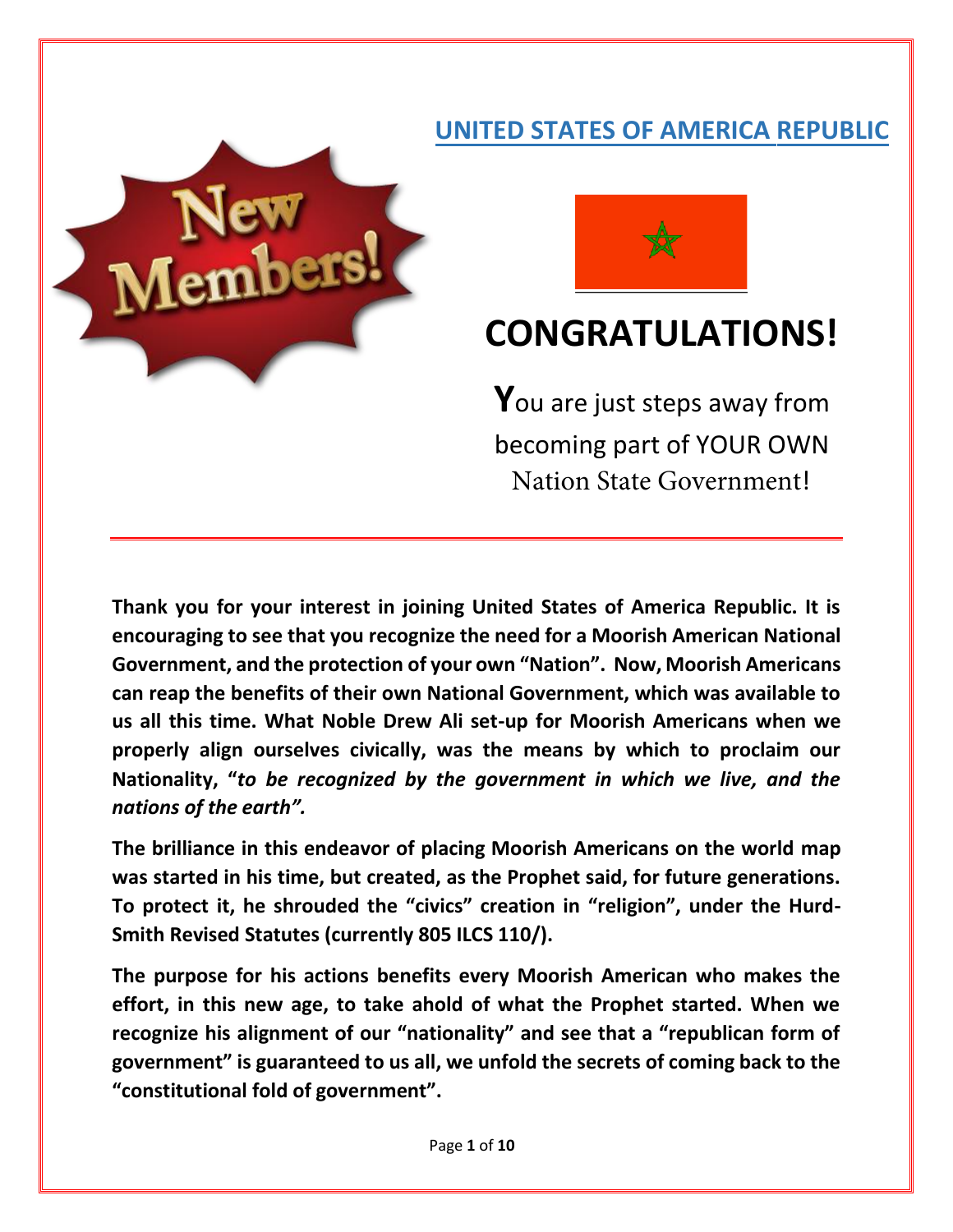# **UNITED STATES OF AMERICA REPUBLIC**





# **CONGRATULATIONS!**

You are just steps away from becoming part of YOUR OWN Nation State Government!

**Thank you for your interest in joining United States of America Republic. It is encouraging to see that you recognize the need for a Moorish American National Government, and the protection of your own "Nation". Now, Moorish Americans can reap the benefits of their own National Government, which was available to us all this time. What Noble Drew Ali set-up for Moorish Americans when we properly align ourselves civically, was the means by which to proclaim our Nationality, "***to be recognized by the government in which we live, and the nations of the earth".*

**The brilliance in this endeavor of placing Moorish Americans on the world map was started in his time, but created, as the Prophet said, for future generations. To protect it, he shrouded the "civics" creation in "religion", under the Hurd-Smith Revised Statutes (currently 805 ILCS 110/).**

**The purpose for his actions benefits every Moorish American who makes the effort, in this new age, to take ahold of what the Prophet started. When we recognize his alignment of our "nationality" and see that a "republican form of government" is guaranteed to us all, we unfold the secrets of coming back to the "constitutional fold of government".**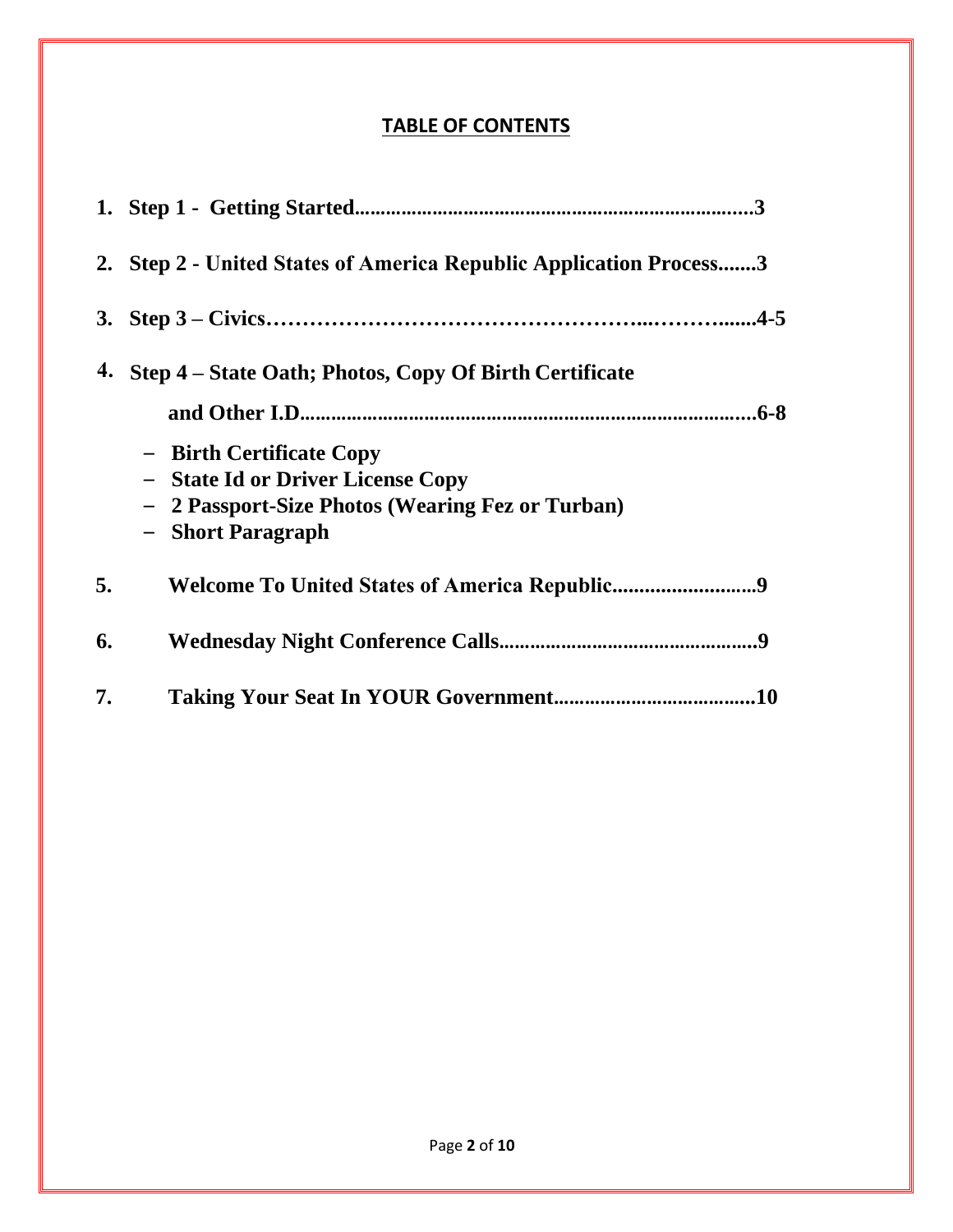## **TABLE OF CONTENTS**

|    | 2. Step 2 - United States of America Republic Application Process3                                                                             |
|----|------------------------------------------------------------------------------------------------------------------------------------------------|
|    |                                                                                                                                                |
| 4. | Step 4 – State Oath; Photos, Copy Of Birth Certificate                                                                                         |
|    |                                                                                                                                                |
|    | <b>Birth Certificate Copy</b><br>- State Id or Driver License Copy<br>2 Passport-Size Photos (Wearing Fez or Turban)<br><b>Short Paragraph</b> |
| 5. |                                                                                                                                                |
| 6. | 9                                                                                                                                              |
| 7. | .10                                                                                                                                            |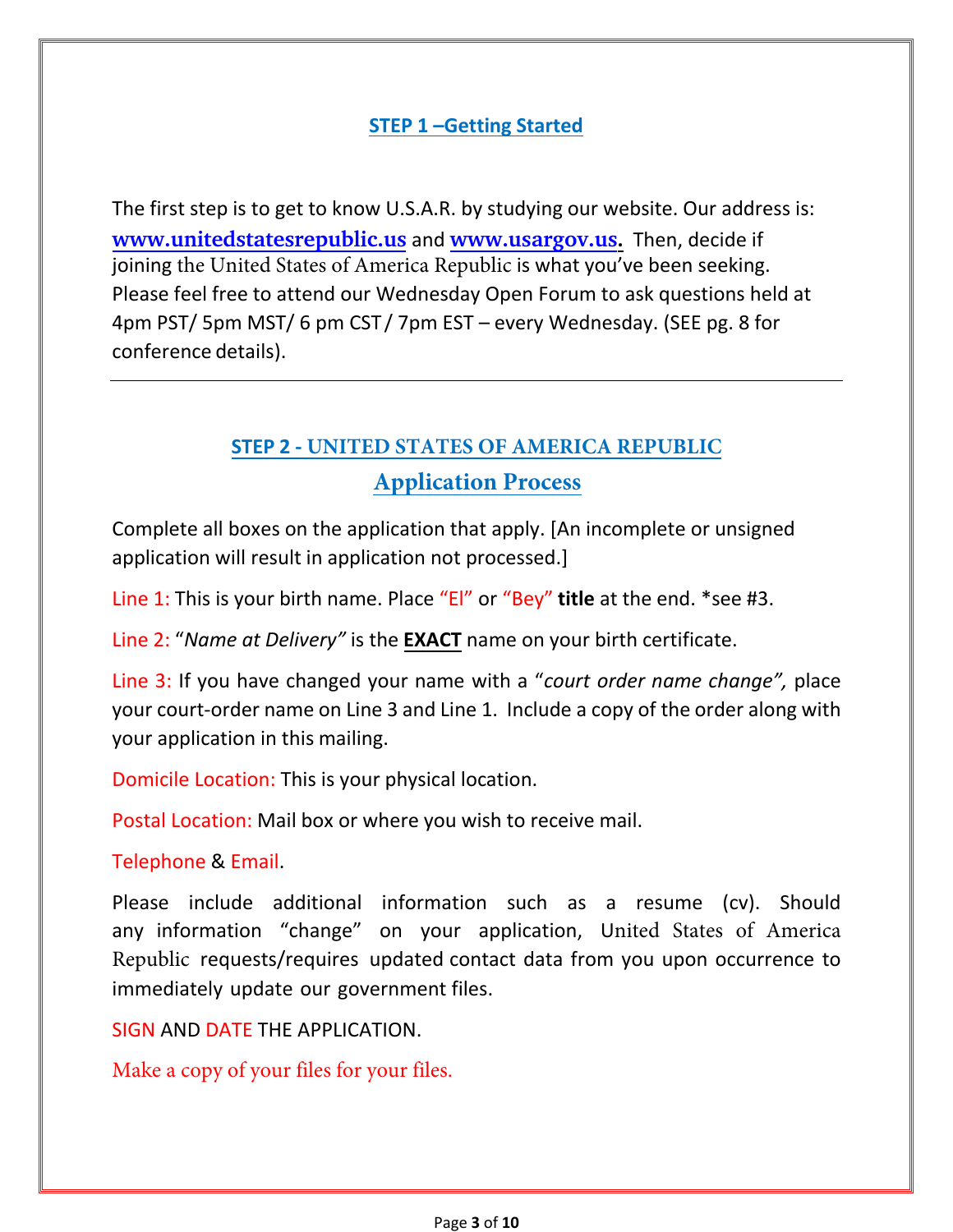### **STEP 1 –Getting Started**

The first step is to get to know U.S.A.R. by studying our website. Our address is: **[www.unitedstatesrepublic.u](http://www.unitedstatesrepublic.us/)s** and **[www.usargov.us](http://www.unitedstatesrepublic.info/).** Then, decide if joining the United States of America Republic is what you've been seeking. Please feel free to attend our Wednesday Open Forum to ask questions held at 4pm PST/ 5pm MST/ 6 pm CST / 7pm EST – every Wednesday. (SEE pg. 8 for conference details).

# **STEP 2 - UNITED STATES OF AMERICA REPUBLIC Application Process**

Complete all boxes on the application that apply. [An incomplete or unsigned application will result in application not processed.]

Line 1: This is your birth name. Place "El" or "Bey" **title** at the end. \*see #3.

Line 2: "*Name at Delivery"* is the **EXACT** name on your birth certificate.

Line 3: If you have changed your name with a "*court order name change",* place your court-order name on Line 3 and Line 1. Include a copy of the order along with your application in this mailing.

Domicile Location: This is your physical location.

Postal Location: Mail box or where you wish to receive mail.

Telephone & Email.

Please include additional information such as a resume (cv). Should any information "change" on your application, United States of America Republic requests/requires updated contact data from you upon occurrence to immediately update our government files.

SIGN AND DATE THE APPLICATION.

Make a copy of your files for your files.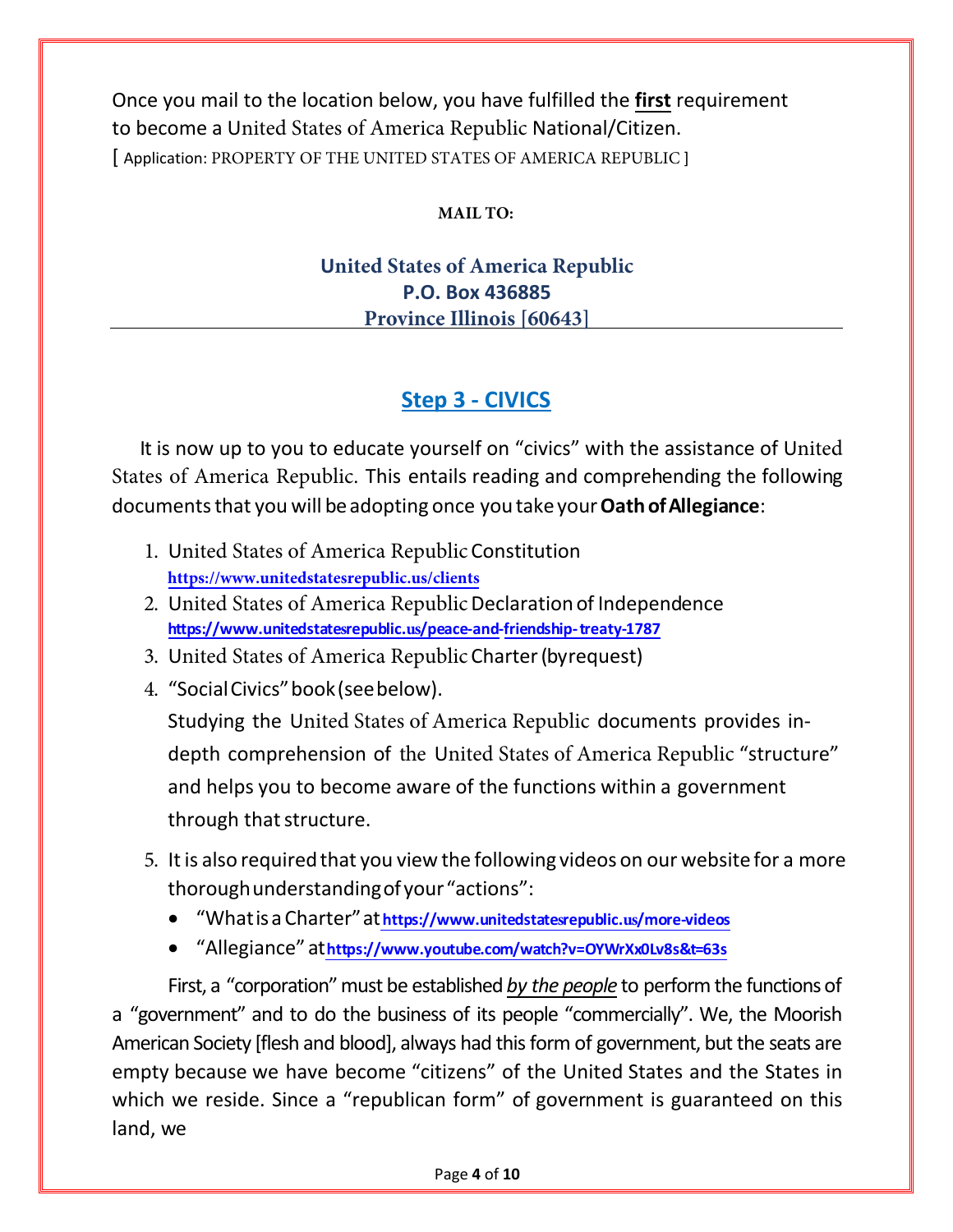Once you mail to the location below, you have fulfilled the **first** requirement to become a United States of America Republic National/Citizen. [ Application: PROPERTY OF THE UNITED STATES OF AMERICA REPUBLIC ]

### **MAIL TO:**

### **United States of America Republic P.O. Box 436885 Province Illinois [60643]**

# **Step 3 - CIVICS**

It is now up to you to educate yourself on "civics" with the assistance of United States of America Republic. This entails reading and comprehending the following documents that you will be adopting once you take your **Oath ofAllegiance**:

- 1. United States of America Republic Constitution **https://www.unitedsta[tesrepublic.us/clients](https://www.unitedstaterepublic.com/clients)**
- 2. United States of America Republic [Declaration of Independence](https://www.unitedstaterepublic.com/peace-and-friendship-treaty-1787) **[https://ww](https://www.unitedstaterepublic.com/peace-and-friendship-treaty-1787)w.unitedstatesrepublic.us/peace-and-friendship[- treaty-1787](https://www.unitedstaterepublic.com/peace-and-friendship-treaty-1787)**
- 3. United States of America Republic Charter (byrequest)
- 4. "SocialCivics"book (see below).

Studying the United States of America Republic documents provides indepth comprehension of the United States of America Republic "structure" and helps you to become aware of the functions within a government through that structure.

- 5. It is also required that you view the following videos on our website for a more thorough understanding of your "actions":
	- "Whatisa Charter"at**[https://www.unitedstate](https://www.unitedstaterepublic.com/more-videos)srepublic.us/more-videos**
	- "Allegiance" at**<https://www.youtube.com/watch?v=OYWrXx0Lv8s&t=63s>**

First, a "corporation" must be established *by the people* to perform the functions of a "government" and to do the business of its people "commercially". We, the Moorish American Society [flesh and blood], always had this form of government, but the seats are empty because we have become "citizens" of the United States and the States in which we reside. Since a "republican form" of government is guaranteed on this land, we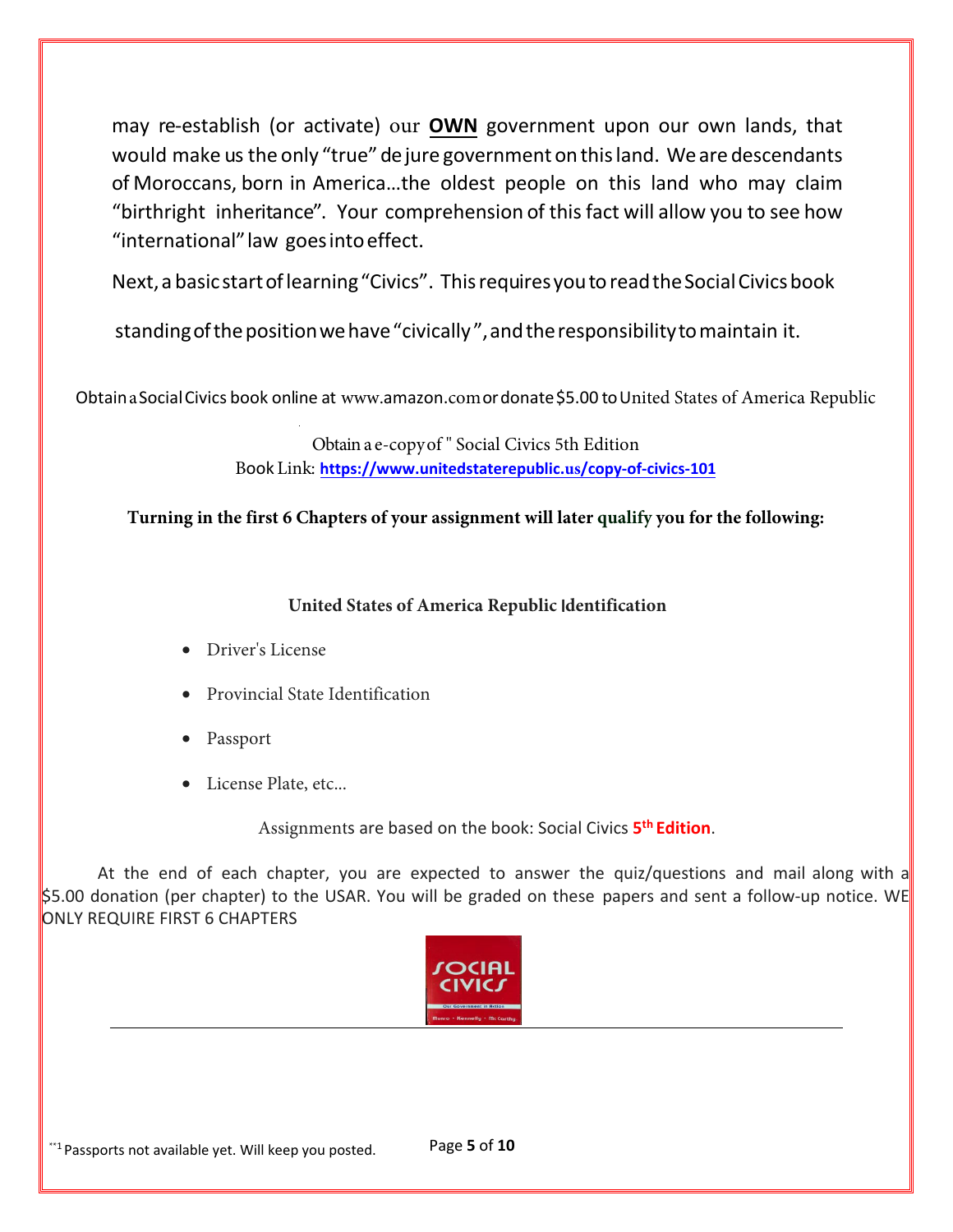may re-establish (or activate) our **OWN** government upon our own lands, that would make us the only "true" dejure government on this land. Weare descendants of Moroccans, born in America…the oldest people on this land who may claim "birthright inheritance". Your comprehension of this fact will allow you to see how "international"law goes into effect.

Next, a basicstart oflearning "Civics". This requires you toread the Social Civics book

standing of the position we have "civically", and the responsibility to maintain it.

Obtaina Social Civics book online at www.amazon.comordonate \$5.00 toUnited States of America Republic

Obtain a e-copy of " Social Civics 5th Edition Book Link: **[https://www.unitedstaterepublic.](https://www.unitedstaterepublic.com/copy-of-civics-101)us/copy-of-civics-101**

**Turning in the first 6 Chapters of your assignment will later qualify you for the following:**

### **United States of America Republic** I**dentification**

- Driver's License
- Provincial State Identification
- Passport
- License Plate, etc...

Assignments are based on the book: Social Civics **5 th Edition**.

At the end of each chapter, you are expected to answer the quiz/questions and mail along with a \$5.00 donation (per chapter) to the USAR. You will be graded on these papers and sent a follow-up notice. WE ONLY REQUIRE FIRST 6 CHAPTERS

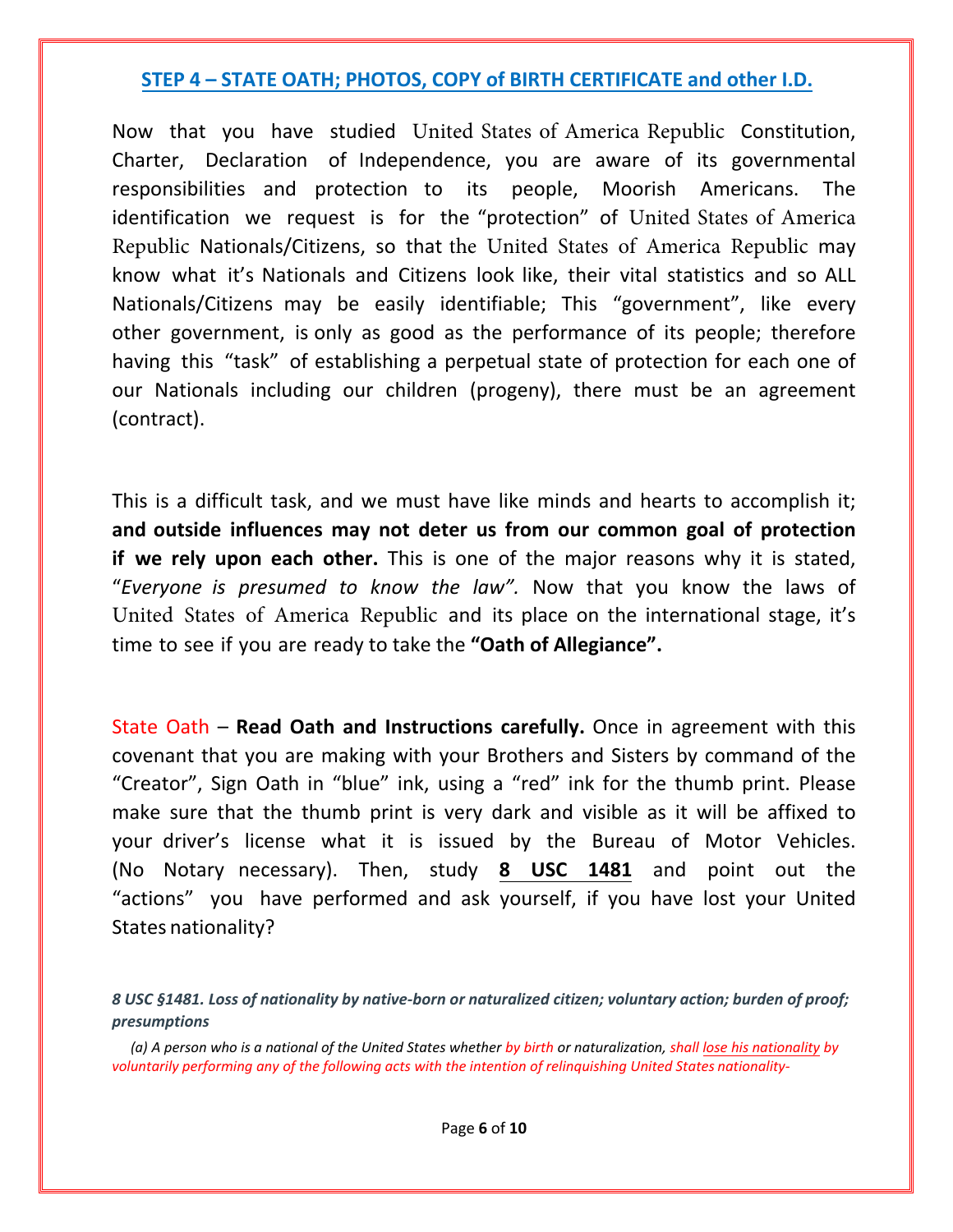### **STEP 4 – STATE OATH; PHOTOS, COPY of BIRTH CERTIFICATE and other I.D.**

Now that you have studied United States of America Republic Constitution, Charter, Declaration of Independence, you are aware of its governmental responsibilities and protection to its people, Moorish Americans. The identification we request is for the "protection" of United States of America Republic Nationals/Citizens, so that the United States of America Republic may know what it's Nationals and Citizens look like, their vital statistics and so ALL Nationals/Citizens may be easily identifiable; This "government", like every other government, is only as good as the performance of its people; therefore having this "task" of establishing a perpetual state of protection for each one of our Nationals including our children (progeny), there must be an agreement (contract).

This is a difficult task, and we must have like minds and hearts to accomplish it; **and outside influences may not deter us from our common goal of protection if we rely upon each other.** This is one of the major reasons why it is stated, "*Everyone is presumed to know the law".* Now that you know the laws of United States of America Republic and its place on the international stage, it's time to see if you are ready to take the **"Oath of Allegiance".**

State Oath – **Read Oath and Instructions carefully.** Once in agreement with this covenant that you are making with your Brothers and Sisters by command of the "Creator", Sign Oath in "blue" ink, using a "red" ink for the thumb print. Please make sure that the thumb print is very dark and visible as it will be affixed to your driver's license what it is issued by the Bureau of Motor Vehicles. (No Notary necessary). Then, study **8 USC 1481** and point out the "actions" you have performed and ask yourself, if you have lost your United States nationality?

*<sup>8</sup> USC §1481. Loss of nationality by native-born or naturalized citizen; voluntary action; burden of proof; presumptions*

*<sup>(</sup>a) A person who is a national of the United States whether by birth or naturalization, shall lose his nationality by voluntarily performing any of the following acts with the intention of relinquishing United States nationality-*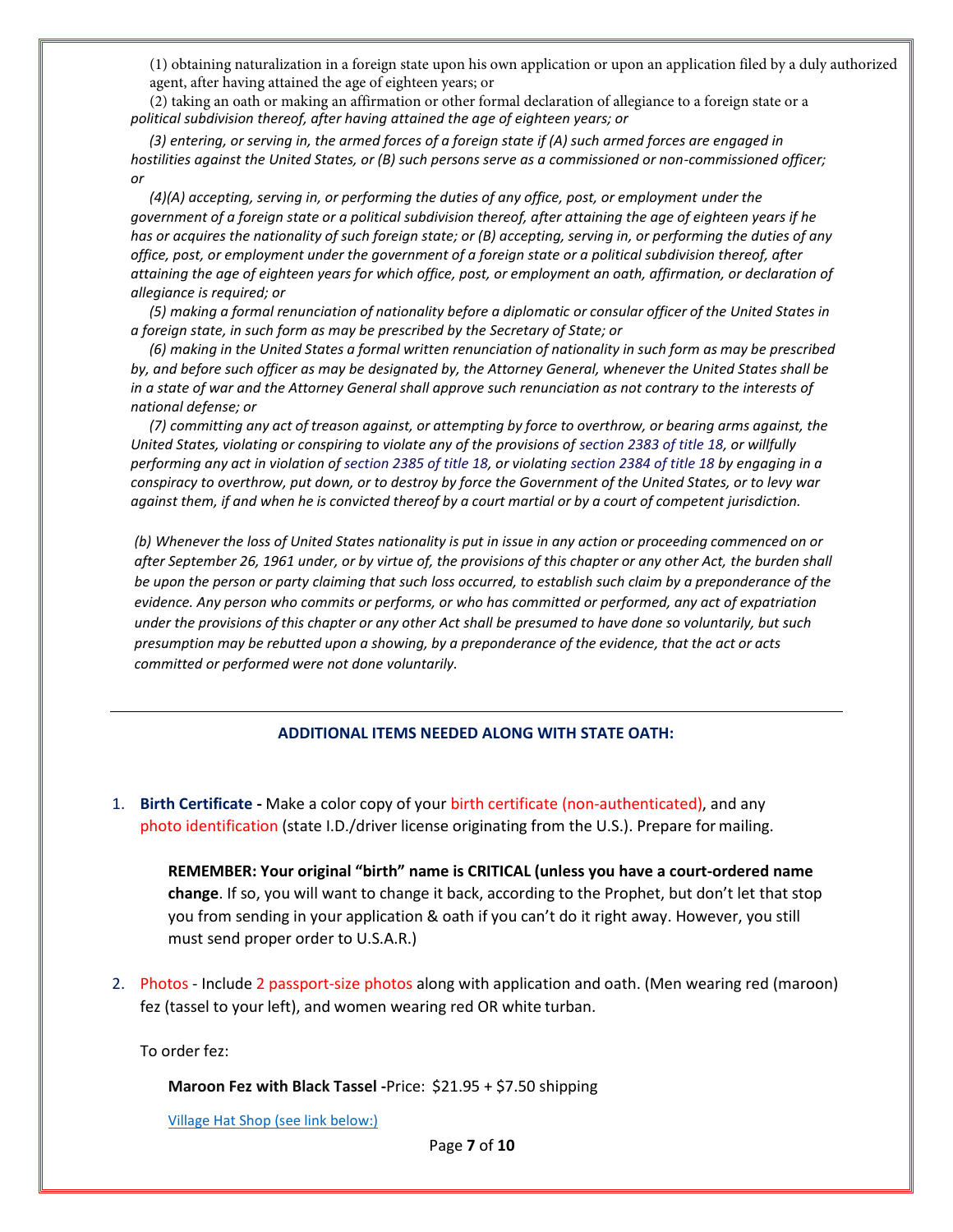(1) obtaining naturalization in a foreign state upon his own application or upon an application filed by a duly authorized agent, after having attained the age of eighteen years; or

*political subdivision thereof, after having attained the age of eighteen years; or* (2) taking an oath or making an affirmation or other formal declaration of allegiance to a foreign state or a

*(3) entering, or serving in, the armed forces of a foreign state if (A) such armed forces are engaged in hostilities against the United States, or (B) such persons serve as a commissioned or non-commissioned officer; or*

*(4)(A) accepting, serving in, or performing the duties of any office, post, or employment under the government of a foreign state or a political subdivision thereof, after attaining the age of eighteen years if he has or acquires the nationality of such foreign state; or (B) accepting, serving in, or performing the duties of any office, post, or employment under the government of a foreign state or a political subdivision thereof, after attaining the age of eighteen years for which office, post, or employment an oath, affirmation, or declaration of allegiance is required; or*

(5) making a formal renunciation of nationality before a diplomatic or consular officer of the United States in *a foreign state, in such form as may be prescribed by the Secretary of State; or*

(6) making in the United States a formal written renunciation of nationality in such form as may be prescribed *by, and before such officer as may be designated by, the Attorney General, whenever the United States shall be in a state of war and the Attorney General shall approve such renunciation as not contrary to the interests of national defense; or*

(7) committing any act of treason against, or attempting by force to overthrow, or bearing arms against, the *United States, violating or conspiring to violate any of the provisions of section 2383 of title 18, or willfully performing any act in violation of section 2385 of title 18, or violating section 2384 of title 18 by engaging in a conspiracy to overthrow, put down, or to destroy by force the Government of the United States, or to levy war*  against them, if and when he is convicted thereof by a court martial or by a court of competent jurisdiction.

*(b) Whenever the loss of United States nationality is put in issue in any action or proceeding commenced on or after September 26, 1961 under, or by virtue of, the provisions of this chapter or any other Act, the burden shall be upon the person or party claiming that such loss occurred, to establish such claim by a preponderance of the evidence. Any person who commits or performs, or who has committed or performed, any act of expatriation under the provisions of this chapter or any other Act shall be presumed to have done so voluntarily, but such presumption may be rebutted upon a showing, by a preponderance of the evidence, that the act or acts committed or performed were not done voluntarily.*

#### **ADDITIONAL ITEMS NEEDED ALONG WITH STATE OATH:**

1. **Birth Certificate -** Make a color copy of your birth certificate (non-authenticated), and any photo identification (state I.D./driver license originating from the U.S.). Prepare for mailing.

**REMEMBER: Your original "birth" name is CRITICAL (unless you have a court-ordered name change**. If so, you will want to change it back, according to the Prophet, but don't let that stop you from sending in your application & oath if you can't do it right away. However, you still must send proper order to U.S.A.R.)

2. Photos - Include 2 passport-size photos along with application and oath. (Men wearing red (maroon) fez (tassel to your left), and women wearing red OR white turban.

To order fez:

**Maroon Fez with Black Tassel -**Price: \$21.95 + \$7.50 shipping

[Village Hat Shop](https://www.amazon.com/s/ref%3Dw_bl_sl_s_ap_web_7141123011?ie=UTF8&node=7141123011&field-brandtextbin=Village%2BHat%2BShop) (see link below:)

Page **7** of **10**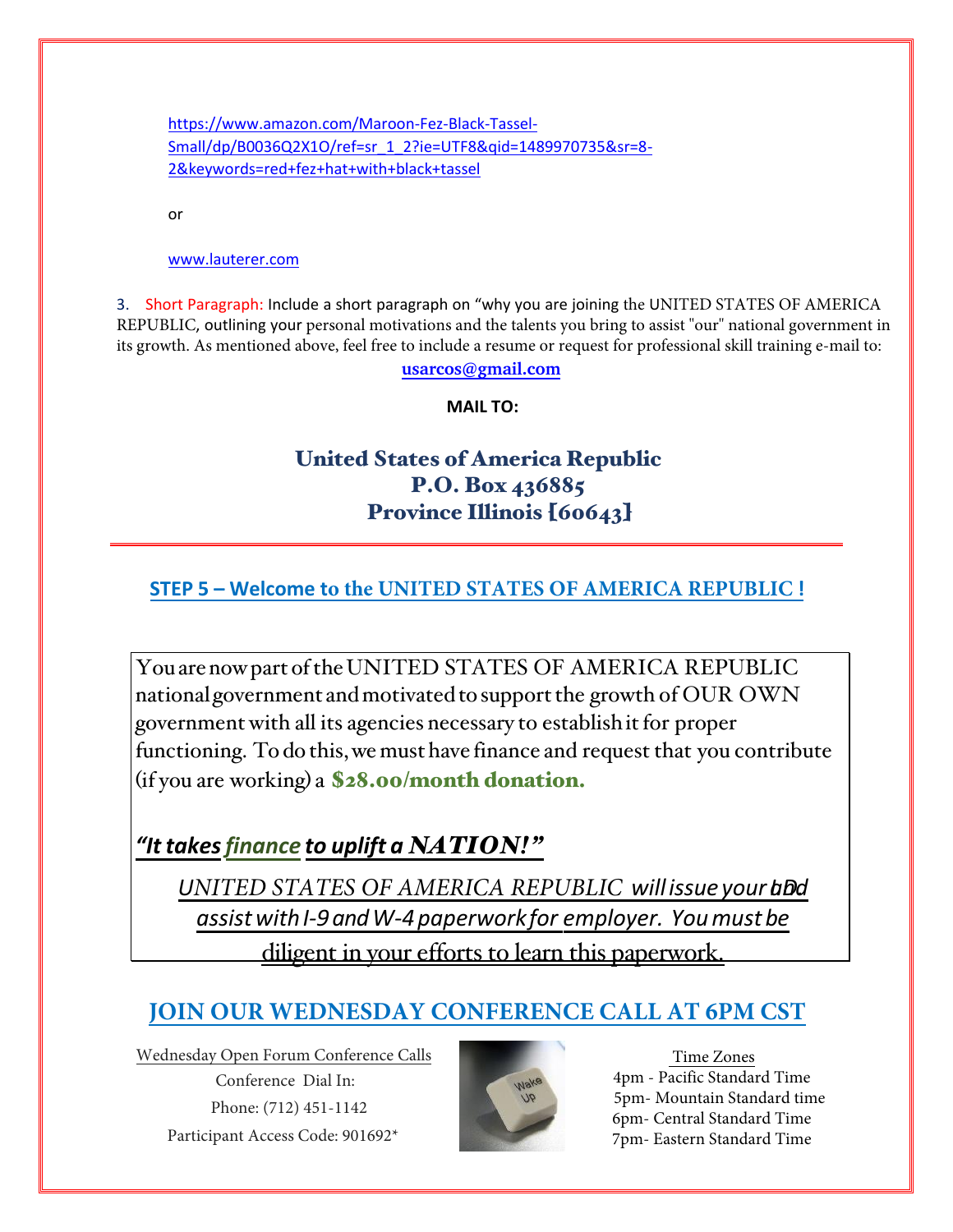[https://www.amazon.com/Maroon-Fez-Black-Tassel-](https://www.amazon.com/Maroon-Fez-Black-Tassel-Small/dp/B0036Q2X1O/ref%3Dsr_1_2?ie=UTF8&qid=1489970735&sr=8-2&keywords=red%2Bfez%2Bhat%2Bwith%2Bblack%2Btassel)[Small/dp/B0036Q2X1O/ref=sr\\_1\\_2?ie=UTF8&qid=1489970735&sr=8-](https://www.amazon.com/Maroon-Fez-Black-Tassel-Small/dp/B0036Q2X1O/ref%3Dsr_1_2?ie=UTF8&qid=1489970735&sr=8-2&keywords=red%2Bfez%2Bhat%2Bwith%2Bblack%2Btassel) [2&keywords=red+fez+hat+with+black+tassel](https://www.amazon.com/Maroon-Fez-Black-Tassel-Small/dp/B0036Q2X1O/ref%3Dsr_1_2?ie=UTF8&qid=1489970735&sr=8-2&keywords=red%2Bfez%2Bhat%2Bwith%2Bblack%2Btassel)

or

#### [www.lauterer.com](http://www.lauterer.com/)

3. Short Paragraph: Include a short paragraph on "why you are joining the UNITED STATES OF AMERICA REPUBLIC, outlining your personal motivations and the talents you bring to assist "our" national government in its growth. As mentioned above, feel free to include a resume or request for professional skill training e-mail to:

**usarcos@gmail.com**

**MAIL TO:** 

# United States of America Republic P.O. Box 436885 Province Illinois [60643]

### **STEP 5 – Welcome to the UNITED STATES OF AMERICA REPUBLIC !**

You are now part of the UNITED STATES OF AMERICA REPUBLIC national government and motivated to support the growth of OUR OWN government with all its agencies necessary to establish it for proper functioning. To do this, we must have finance and request that you contribute (if you are working) a \$28.00/month donation.

# *"It takesfinance to uplift a NATION!"*

*UNITED STATES OF AMERICA REPUBLIC will issue your and all and*  $\alpha$ *assist with I-9 andW-4 paperwork for employer. You must be*  diligent in your efforts to learn this paperwork.

# **JOIN OUR WEDNESDAY CONFERENCE CALL AT 6PM CST**

Wednesday Open Forum Conference Calls Conference Dial In: Phone: (712) 451-1142 Participant Access Code: 901692\*



Time Zones 4pm - Pacific Standard Time 5pm- Mountain Standard time 6pm- Central Standard Time 7pm- Eastern Standard Time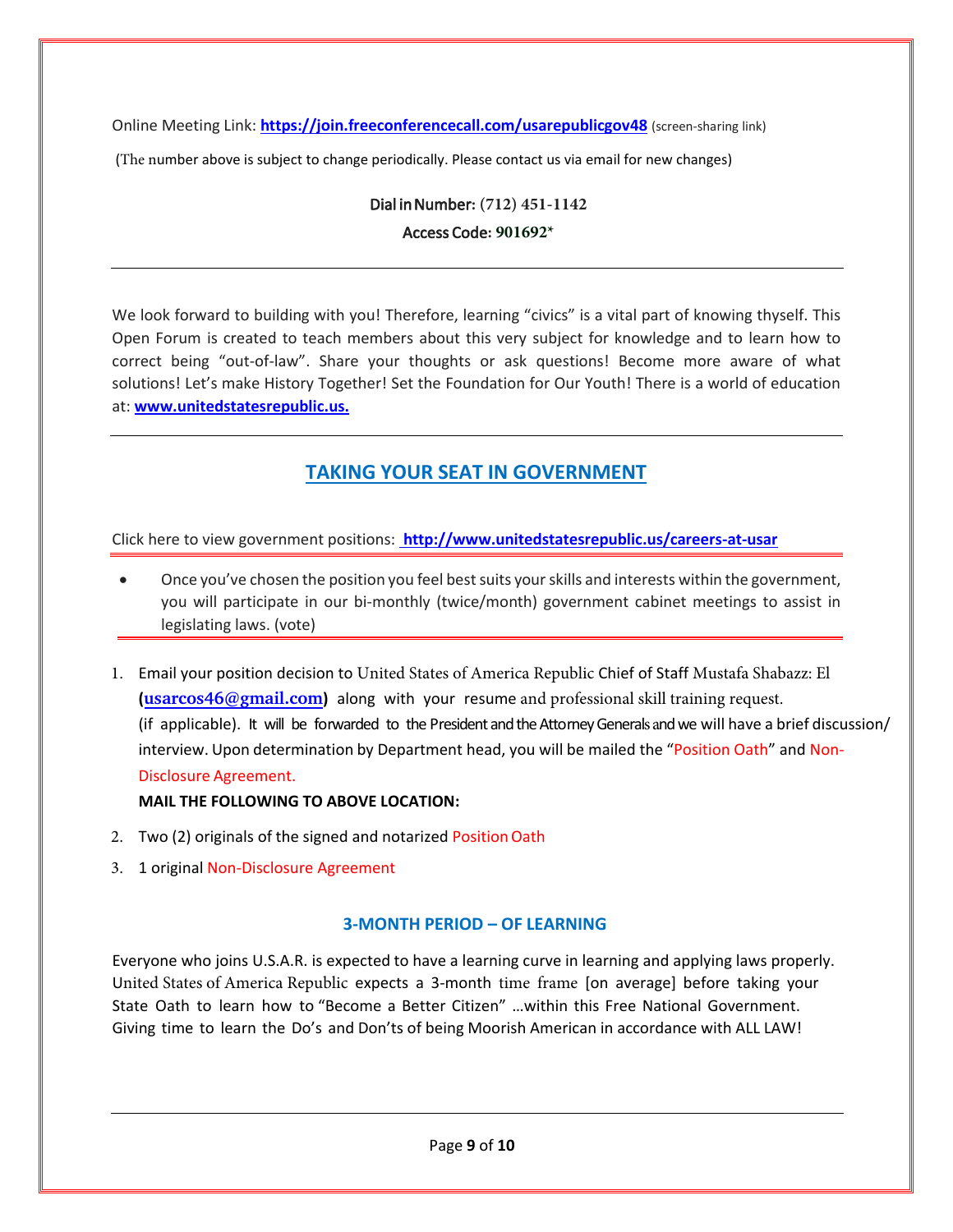Online Meeting Link: **[https://join.freeconferencecall.com/usarepublicgov4](https://join.freeconferencecall.com/usarepublicgov)8** (screen-sharing link)

(The number above is subject to change periodically. Please contact us via email for new changes)

Dial in Number**: (712) 451-1142**  Access Code**: 901692\***

We look forward to building with you! Therefore, learning "civics" is a vital part of knowing thyself. This Open Forum is created to teach members about this very subject for knowledge and to learn how to correct being "out-of-law". Share your thoughts or ask questions! Become more aware of what solutions! Let's make History Together! Set the Foundation for Our Youth! There is a world of education at: **[www.unitedstatesrepublic.us](http://www.unitedstatesrepublic.us/).**

### **TAKING YOUR SEAT IN GOVERNMENT**

Click here to view government positions: **<http://www.unitedstatesrepublic.us/careers-at-usar>**

- Once you've chosen the position you feel best suits your skills and interests within the government, you will participate in our bi-monthly (twice/month) government cabinet meetings to assist in legislating laws. (vote)
- 1. Email your position decision to United States of America Republic Chief of Staff Mustafa Shabazz: El **(usarcos46@gmail.com)** along with your resume and professional skill training request. (if applicable). It will be forwarded to the President and the Attorney Generals and we will have a brief discussion/ interview. Upon determination by Department head, you will be mailed the "Position Oath" and Non-Disclosure Agreement.

#### **MAIL THE FOLLOWING TO ABOVE LOCATION:**

- 2. Two (2) originals of the signed and notarized Position Oath
- 3. 1 original Non-Disclosure Agreement

#### **3-MONTH PERIOD – OF LEARNING**

Everyone who joins U.S.A.R. is expected to have a learning curve in learning and applying laws properly. United States of America Republic expects a 3-month time frame [on average] before taking your State Oath to learn how to "Become a Better Citizen" …within this Free National Government. Giving time to learn the Do's and Don'ts of being Moorish American in accordance with ALL LAW!